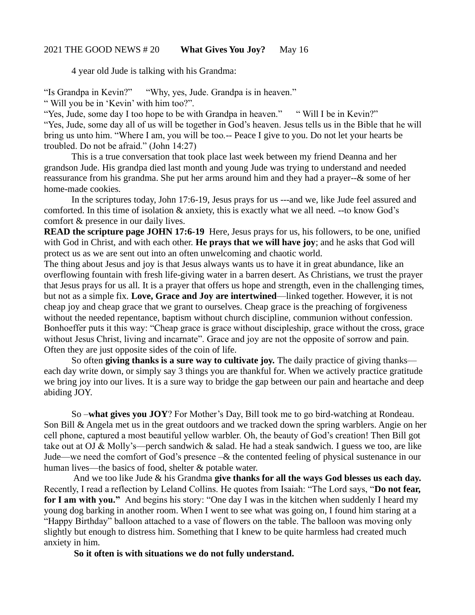## 2021 THE GOOD NEWS # 20 **What Gives You Joy?** May 16

4 year old Jude is talking with his Grandma:

"Is Grandpa in Kevin?" "Why, yes, Jude. Grandpa is in heaven."

" Will you be in 'Kevin' with him too?".

"Yes, Jude, some day I too hope to be with Grandpa in heaven." " Will I be in Kevin?" "Yes, Jude, some day all of us will be together in God's heaven. Jesus tells us in the Bible that he will bring us unto him. "Where I am, you will be too.-- Peace I give to you. Do not let your hearts be troubled. Do not be afraid." (John 14:27)

This is a true conversation that took place last week between my friend Deanna and her grandson Jude. His grandpa died last month and young Jude was trying to understand and needed reassurance from his grandma. She put her arms around him and they had a prayer--& some of her home-made cookies.

In the scriptures today, John 17:6-19, Jesus prays for us ---and we, like Jude feel assured and comforted. In this time of isolation & anxiety, this is exactly what we all need. --to know God's comfort & presence in our daily lives.

**READ the scripture page JOHN 17:6-19** Here, Jesus prays for us, his followers, to be one, unified with God in Christ, and with each other. **He prays that we will have joy**; and he asks that God will protect us as we are sent out into an often unwelcoming and chaotic world.

The thing about Jesus and joy is that Jesus always wants us to have it in great abundance, like an overflowing fountain with fresh life-giving water in a barren desert. As Christians, we trust the prayer that Jesus prays for us all. It is a prayer that offers us hope and strength, even in the challenging times, but not as a simple fix. **Love, Grace and Joy are intertwined**—linked together. However, it is not cheap joy and cheap grace that we grant to ourselves. Cheap grace is the preaching of forgiveness without the needed repentance, baptism without church discipline, communion without confession. Bonhoeffer puts it this way: "Cheap grace is grace without discipleship, grace without the cross, grace without Jesus Christ, living and incarnate". Grace and joy are not the opposite of sorrow and pain. Often they are just opposite sides of the coin of life.

So often **giving thanks is a sure way to cultivate joy.** The daily practice of giving thanks each day write down, or simply say 3 things you are thankful for. When we actively practice gratitude we bring joy into our lives. It is a sure way to bridge the gap between our pain and heartache and deep abiding JOY.

So –**what gives you JOY**? For Mother's Day, Bill took me to go bird-watching at Rondeau. Son Bill & Angela met us in the great outdoors and we tracked down the spring warblers. Angie on her cell phone, captured a most beautiful yellow warbler. Oh, the beauty of God's creation! Then Bill got take out at OJ & Molly's—perch sandwich & salad. He had a steak sandwich. I guess we too, are like Jude—we need the comfort of God's presence –& the contented feeling of physical sustenance in our human lives—the basics of food, shelter & potable water.

And we too like Jude & his Grandma **give thanks for all the ways God blesses us each day.**  Recently, I read a reflection by Leland Collins. He quotes from Isaiah: "The Lord says, "**Do not fear, for I am with you."** And begins his story: "One day I was in the kitchen when suddenly I heard my young dog barking in another room. When I went to see what was going on, I found him staring at a "Happy Birthday" balloon attached to a vase of flowers on the table. The balloon was moving only slightly but enough to distress him. Something that I knew to be quite harmless had created much anxiety in him.

**So it often is with situations we do not fully understand.**